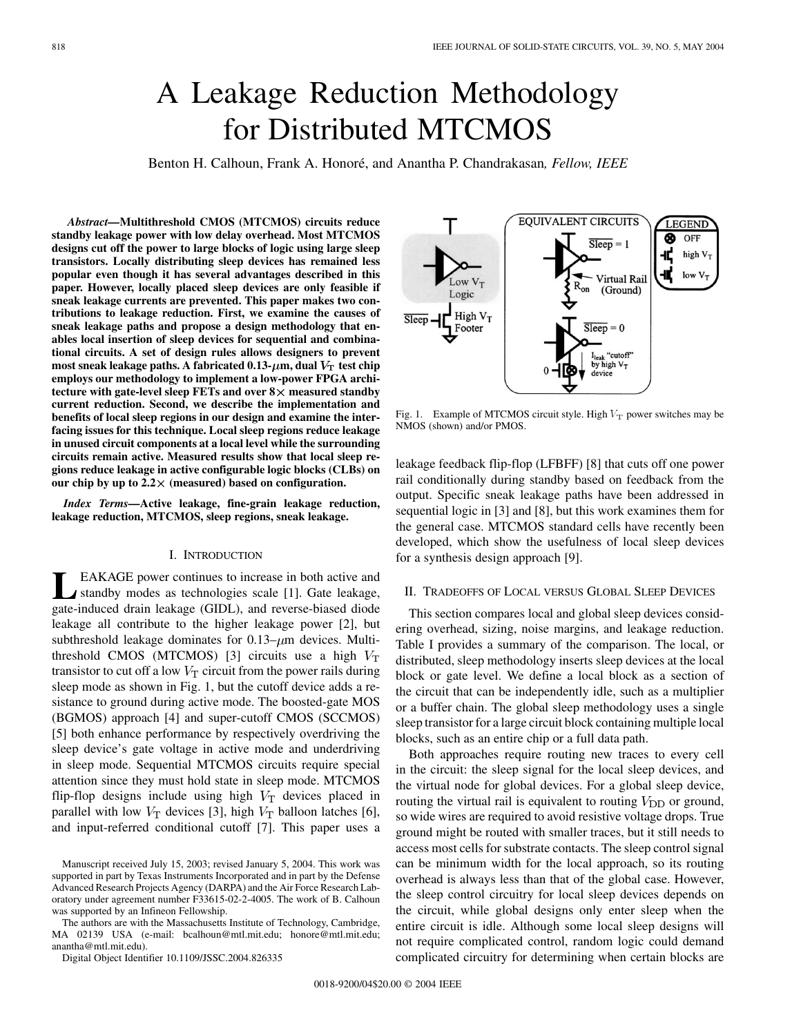# A Leakage Reduction Methodology for Distributed MTCMOS

Benton H. Calhoun, Frank A. Honoré, and Anantha P. Chandrakasan*, Fellow, IEEE*

*Abstract—***Multithreshold CMOS (MTCMOS) circuits reduce standby leakage power with low delay overhead. Most MTCMOS designs cut off the power to large blocks of logic using large sleep transistors. Locally distributing sleep devices has remained less popular even though it has several advantages described in this paper. However, locally placed sleep devices are only feasible if sneak leakage currents are prevented. This paper makes two contributions to leakage reduction. First, we examine the causes of sneak leakage paths and propose a design methodology that enables local insertion of sleep devices for sequential and combinational circuits. A set of design rules allows designers to prevent** most sneak leakage paths. A fabricated  $0.13 - \mu m$ , dual  $V_T$  test chip **employs our methodology to implement a low-power FPGA architecture with gate-level sleep FETs and over**  $8 \times$  **measured standby current reduction. Second, we describe the implementation and benefits of local sleep regions in our design and examine the interfacing issues for this technique. Local sleep regions reduce leakage in unused circuit components at a local level while the surrounding circuits remain active. Measured results show that local sleep regions reduce leakage in active configurable logic blocks (CLBs) on our chip by up to 2.2 (measured) based on configuration.**

*Index Terms—***Active leakage, fine-grain leakage reduction, leakage reduction, MTCMOS, sleep regions, sneak leakage.**

# I. INTRODUCTION

**L**EAKAGE power continues to increase in both active and standby modes as technologies scale [\[1](#page-7-0)]. Gate leakage, gate-induced drain leakage (GIDL), and reverse-biased diode leakage all contribute to the higher leakage power [[2](#page-7-0)], but subthreshold leakage dominates for  $0.13-\mu m$  devices. Multi-threshold CMOS (MTCMOS) [[3\]](#page-7-0) circuits use a high  $V_T$ transistor to cut off a low  $V_T$  circuit from the power rails during sleep mode as shown in Fig. 1, but the cutoff device adds a resistance to ground during active mode. The boosted-gate MOS (BGMOS) approach [\[4](#page-7-0)] and super-cutoff CMOS (SCCMOS) [[5\]](#page-7-0) both enhance performance by respectively overdriving the sleep device's gate voltage in active mode and underdriving in sleep mode. Sequential MTCMOS circuits require special attention since they must hold state in sleep mode. MTCMOS flip-flop designs include using high  $V_T$  devices placed in parallel with low  $V_T$  devices [[3\]](#page-7-0), high  $V_T$  balloon latches [[6\]](#page-7-0), and input-referred conditional cutoff [[7\]](#page-7-0). This paper uses a

The authors are with the Massachusetts Institute of Technology, Cambridge, MA 02139 USA (e-mail: bcalhoun@mtl.mit.edu; honore@mtl.mit.edu; anantha@mtl.mit.edu).

Digital Object Identifier 10.1109/JSSC.2004.826335

**EQUIVALENT CIRCUITS** LEGEND ⊗ **OFF**  $Sleep = 1$ high V<sub>T</sub> low \ Virtual Rail  $\kappa_{\text{on}}$ (Ground) Logic High  $V_T$ Footer  $Sleep = 0$ 'cutoff by high  $V_T$ device

Fig. 1. Example of MTCMOS circuit style. High  $V_T$  power switches may be NMOS (shown) and/or PMOS.

leakage feedback flip-flop (LFBFF) [[8](#page-7-0)] that cuts off one power rail conditionally during standby based on feedback from the output. Specific sneak leakage paths have been addressed in sequential logic in [\[3](#page-7-0)] and [\[8](#page-7-0)], but this work examines them for the general case. MTCMOS standard cells have recently been developed, which show the usefulness of local sleep devices for a synthesis design approach [[9\]](#page-7-0).

# II. TRADEOFFS OF LOCAL VERSUS GLOBAL SLEEP DEVICES

This section compares local and global sleep devices considering overhead, sizing, noise margins, and leakage reduction. Table I provides a summary of the comparison. The local, or distributed, sleep methodology inserts sleep devices at the local block or gate level. We define a local block as a section of the circuit that can be independently idle, such as a multiplier or a buffer chain. The global sleep methodology uses a single sleep transistor for a large circuit block containing multiple local blocks, such as an entire chip or a full data path.

Both approaches require routing new traces to every cell in the circuit: the sleep signal for the local sleep devices, and the virtual node for global devices. For a global sleep device, routing the virtual rail is equivalent to routing  $V_{\text{DD}}$  or ground, so wide wires are required to avoid resistive voltage drops. True ground might be routed with smaller traces, but it still needs to access most cells for substrate contacts. The sleep control signal can be minimum width for the local approach, so its routing overhead is always less than that of the global case. However, the sleep control circuitry for local sleep devices depends on the circuit, while global designs only enter sleep when the entire circuit is idle. Although some local sleep designs will not require complicated control, random logic could demand complicated circuitry for determining when certain blocks are



Manuscript received July 15, 2003; revised January 5, 2004. This work was supported in part by Texas Instruments Incorporated and in part by the Defense Advanced Research Projects Agency (DARPA) and the Air Force Research Laboratory under agreement number F33615-02-2-4005. The work of B. Calhoun was supported by an Infineon Fellowship.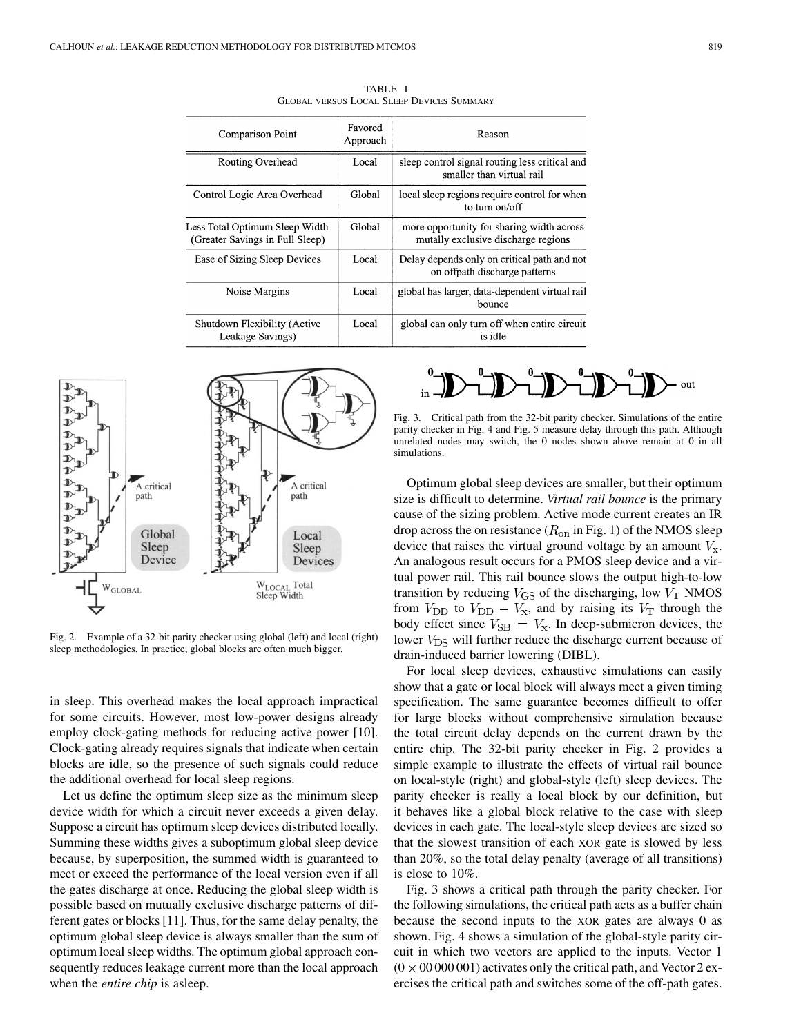| <b>Comparison Point</b>                                           | Favored<br>Approach | Reason                                                                           |
|-------------------------------------------------------------------|---------------------|----------------------------------------------------------------------------------|
| Routing Overhead                                                  | Local               | sleep control signal routing less critical and<br>smaller than virtual rail      |
| Control Logic Area Overhead                                       | Global              | local sleep regions require control for when<br>to turn on/off                   |
| Less Total Optimum Sleep Width<br>(Greater Savings in Full Sleep) | Global              | more opportunity for sharing width across<br>mutally exclusive discharge regions |
| Ease of Sizing Sleep Devices                                      | Local               | Delay depends only on critical path and not<br>on offpath discharge patterns     |
| Noise Margins                                                     | Local               | global has larger, data-dependent virtual rail<br>bounce                         |
| Shutdown Flexibility (Active<br>Leakage Savings)                  | Local               | global can only turn off when entire circuit<br>is idle                          |

TABLE I GLOBAL VERSUS LOCAL SLEEP DEVICES SUMMARY



Fig. 2. Example of a 32-bit parity checker using global (left) and local (right) sleep methodologies. In practice, global blocks are often much bigger.

in sleep. This overhead makes the local approach impractical for some circuits. However, most low-power designs already employ clock-gating methods for reducing active power [\[10](#page-7-0)]. Clock-gating already requires signals that indicate when certain blocks are idle, so the presence of such signals could reduce the additional overhead for local sleep regions.

Let us define the optimum sleep size as the minimum sleep device width for which a circuit never exceeds a given delay. Suppose a circuit has optimum sleep devices distributed locally. Summing these widths gives a suboptimum global sleep device because, by superposition, the summed width is guaranteed to meet or exceed the performance of the local version even if all the gates discharge at once. Reducing the global sleep width is possible based on mutually exclusive discharge patterns of different gates or blocks [[11](#page-7-0)]. Thus, for the same delay penalty, the optimum global sleep device is always smaller than the sum of optimum local sleep widths. The optimum global approach consequently reduces leakage current more than the local approach when the *entire chip* is asleep.



Fig. 3. Critical path from the 32-bit parity checker. Simulations of the entire parity checker in Fig. 4 and Fig. 5 measure delay through this path. Although unrelated nodes may switch, the 0 nodes shown above remain at 0 in all simulations.

Optimum global sleep devices are smaller, but their optimum size is difficult to determine. *Virtual rail bounce* is the primary cause of the sizing problem. Active mode current creates an IR drop across the on resistance  $(R_{on}$  in Fig. 1) of the NMOS sleep device that raises the virtual ground voltage by an amount  $V_x$ . An analogous result occurs for a PMOS sleep device and a virtual power rail. This rail bounce slows the output high-to-low transition by reducing  $V_{\text{GS}}$  of the discharging, low  $V_{\text{T}}$  NMOS from  $V_{\text{DD}}$  to  $V_{\text{DD}} - V_{\text{x}}$ , and by raising its  $V_{\text{T}}$  through the body effect since  $V_{SB} = V_x$ . In deep-submicron devices, the lower  $V_{DS}$  will further reduce the discharge current because of drain-induced barrier lowering (DIBL).

For local sleep devices, exhaustive simulations can easily show that a gate or local block will always meet a given timing specification. The same guarantee becomes difficult to offer for large blocks without comprehensive simulation because the total circuit delay depends on the current drawn by the entire chip. The 32-bit parity checker in Fig. 2 provides a simple example to illustrate the effects of virtual rail bounce on local-style (right) and global-style (left) sleep devices. The parity checker is really a local block by our definition, but it behaves like a global block relative to the case with sleep devices in each gate. The local-style sleep devices are sized so that the slowest transition of each XOR gate is slowed by less than 20%, so the total delay penalty (average of all transitions) is close to 10%.

Fig. 3 shows a critical path through the parity checker. For the following simulations, the critical path acts as a buffer chain because the second inputs to the XOR gates are always 0 as shown. Fig. 4 shows a simulation of the global-style parity circuit in which two vectors are applied to the inputs. Vector 1  $(0 \times 00\,000\,001)$  activates only the critical path, and Vector 2 exercises the critical path and switches some of the off-path gates.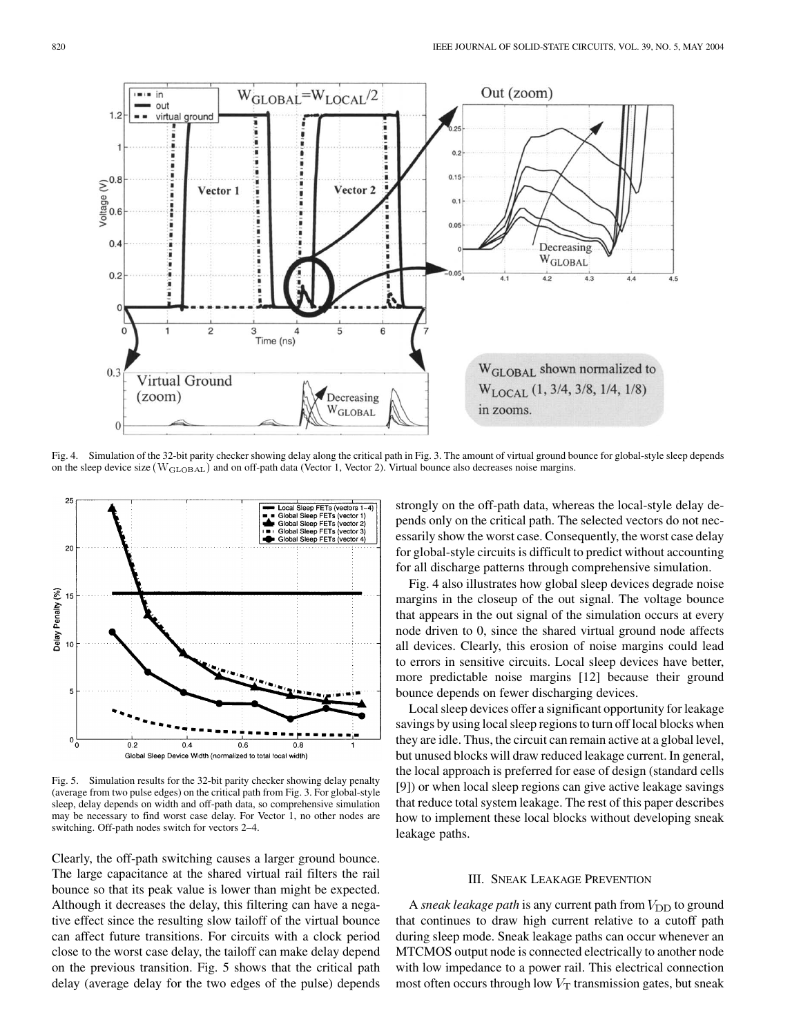

Fig. 4. Simulation of the 32-bit parity checker showing delay along the critical path in Fig. 3. The amount of virtual ground bounce for global-style sleep depends on the sleep device size ( $W_{\text{GLOBAL}}$ ) and on off-path data (Vector 1, Vector 2). Virtual bounce also decreases noise margins.



Fig. 5. Simulation results for the 32-bit parity checker showing delay penalty (average from two pulse edges) on the critical path from Fig. 3. For global-style sleep, delay depends on width and off-path data, so comprehensive simulation may be necessary to find worst case delay. For Vector 1, no other nodes are switching. Off-path nodes switch for vectors 2–4.

Clearly, the off-path switching causes a larger ground bounce. The large capacitance at the shared virtual rail filters the rail bounce so that its peak value is lower than might be expected. Although it decreases the delay, this filtering can have a negative effect since the resulting slow tailoff of the virtual bounce can affect future transitions. For circuits with a clock period close to the worst case delay, the tailoff can make delay depend on the previous transition. Fig. 5 shows that the critical path delay (average delay for the two edges of the pulse) depends strongly on the off-path data, whereas the local-style delay depends only on the critical path. The selected vectors do not necessarily show the worst case. Consequently, the worst case delay for global-style circuits is difficult to predict without accounting for all discharge patterns through comprehensive simulation.

Fig. 4 also illustrates how global sleep devices degrade noise margins in the closeup of the out signal. The voltage bounce that appears in the out signal of the simulation occurs at every node driven to 0, since the shared virtual ground node affects all devices. Clearly, this erosion of noise margins could lead to errors in sensitive circuits. Local sleep devices have better, more predictable noise margins [[12\]](#page-7-0) because their ground bounce depends on fewer discharging devices.

Local sleep devices offer a significant opportunity for leakage savings by using local sleep regions to turn off local blocks when they are idle. Thus, the circuit can remain active at a global level, but unused blocks will draw reduced leakage current. In general, the local approach is preferred for ease of design (standard cells [[9\]](#page-7-0)) or when local sleep regions can give active leakage savings that reduce total system leakage. The rest of this paper describes how to implement these local blocks without developing sneak leakage paths.

### III. SNEAK LEAKAGE PREVENTION

A *sneak leakage path* is any current path from  $V_{\text{DD}}$  to ground that continues to draw high current relative to a cutoff path during sleep mode. Sneak leakage paths can occur whenever an MTCMOS output node is connected electrically to another node with low impedance to a power rail. This electrical connection most often occurs through low  $V_T$  transmission gates, but sneak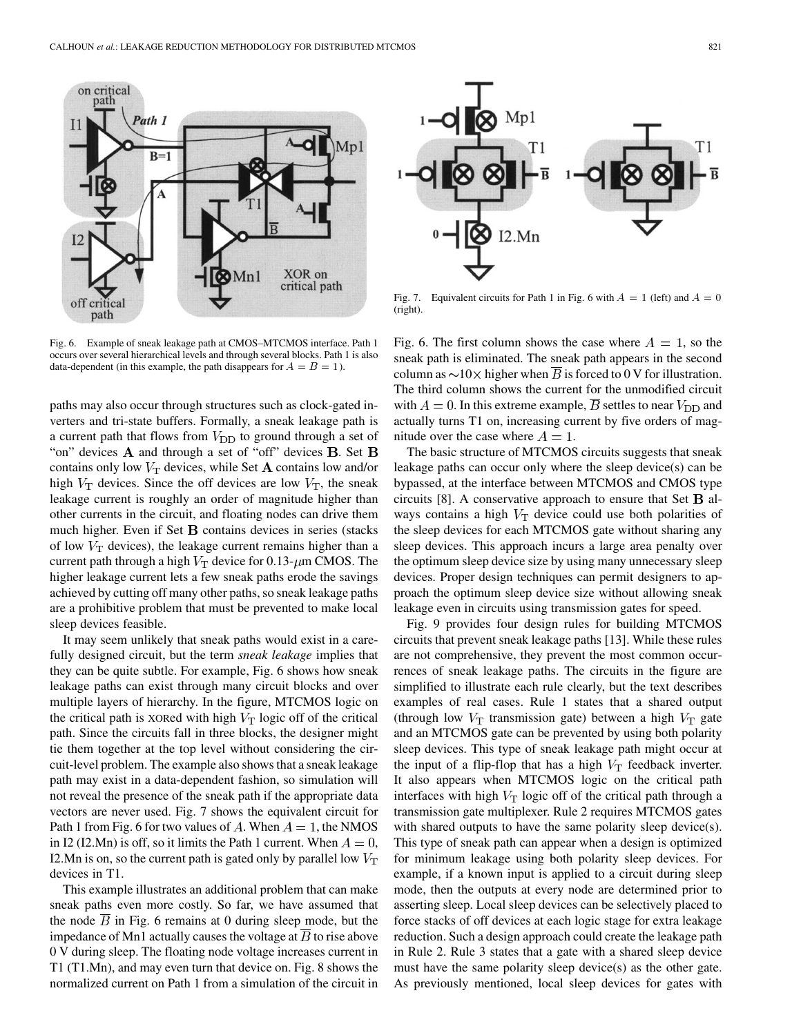

Fig. 6. Example of sneak leakage path at CMOS–MTCMOS interface. Path 1 occurs over several hierarchical levels and through several blocks. Path 1 is also data-dependent (in this example, the path disappears for  $A = B = 1$ ).

paths may also occur through structures such as clock-gated inverters and tri-state buffers. Formally, a sneak leakage path is a current path that flows from  $V_{\text{DD}}$  to ground through a set of "on" devices  $A$  and through a set of "off" devices  $B$ . Set  $B$ contains only low  $V_T$  devices, while Set **A** contains low and/or high  $V_T$  devices. Since the off devices are low  $V_T$ , the sneak leakage current is roughly an order of magnitude higher than other currents in the circuit, and floating nodes can drive them much higher. Even if Set  $B$  contains devices in series (stacks of low  $V_T$  devices), the leakage current remains higher than a current path through a high  $V_T$  device for 0.13- $\mu$ m CMOS. The higher leakage current lets a few sneak paths erode the savings achieved by cutting off many other paths, so sneak leakage paths are a prohibitive problem that must be prevented to make local sleep devices feasible.

It may seem unlikely that sneak paths would exist in a carefully designed circuit, but the term *sneak leakage* implies that they can be quite subtle. For example, Fig. 6 shows how sneak leakage paths can exist through many circuit blocks and over multiple layers of hierarchy. In the figure, MTCMOS logic on the critical path is XORed with high  $V_T$  logic off of the critical path. Since the circuits fall in three blocks, the designer might tie them together at the top level without considering the circuit-level problem. The example also shows that a sneak leakage path may exist in a data-dependent fashion, so simulation will not reveal the presence of the sneak path if the appropriate data vectors are never used. Fig. 7 shows the equivalent circuit for Path 1 from Fig. 6 for two values of A. When  $A = 1$ , the NMOS in I2 (I2.Mn) is off, so it limits the Path 1 current. When  $A = 0$ , I2. Mn is on, so the current path is gated only by parallel low  $V_T$ devices in T1.

This example illustrates an additional problem that can make sneak paths even more costly. So far, we have assumed that the node  $\overline{B}$  in Fig. 6 remains at 0 during sleep mode, but the impedance of Mn1 actually causes the voltage at  $\overline{B}$  to rise above 0 V during sleep. The floating node voltage increases current in T1 (T1.Mn), and may even turn that device on. Fig. 8 shows the normalized current on Path 1 from a simulation of the circuit in



Fig. 7. Equivalent circuits for Path 1 in Fig. 6 with  $A = 1$  (left) and  $A = 0$ (right).

Fig. 6. The first column shows the case where  $A = 1$ , so the sneak path is eliminated. The sneak path appears in the second column as  $\sim$ 10 $\times$  higher when  $\overline{B}$  is forced to 0 V for illustration. The third column shows the current for the unmodified circuit with  $A = 0$ . In this extreme example,  $\overline{B}$  settles to near  $V_{\text{DD}}$  and actually turns T1 on, increasing current by five orders of magnitude over the case where  $A = 1$ .

The basic structure of MTCMOS circuits suggests that sneak leakage paths can occur only where the sleep device(s) can be bypassed, at the interface between MTCMOS and CMOS type circuits  $[8]$  $[8]$ . A conservative approach to ensure that Set **B** always contains a high  $V_T$  device could use both polarities of the sleep devices for each MTCMOS gate without sharing any sleep devices. This approach incurs a large area penalty over the optimum sleep device size by using many unnecessary sleep devices. Proper design techniques can permit designers to approach the optimum sleep device size without allowing sneak leakage even in circuits using transmission gates for speed.

Fig. 9 provides four design rules for building MTCMOS circuits that prevent sneak leakage paths [[13\]](#page-7-0). While these rules are not comprehensive, they prevent the most common occurrences of sneak leakage paths. The circuits in the figure are simplified to illustrate each rule clearly, but the text describes examples of real cases. Rule 1 states that a shared output (through low  $V_T$  transmission gate) between a high  $V_T$  gate and an MTCMOS gate can be prevented by using both polarity sleep devices. This type of sneak leakage path might occur at the input of a flip-flop that has a high  $V_T$  feedback inverter. It also appears when MTCMOS logic on the critical path interfaces with high  $V_T$  logic off of the critical path through a transmission gate multiplexer. Rule 2 requires MTCMOS gates with shared outputs to have the same polarity sleep device(s). This type of sneak path can appear when a design is optimized for minimum leakage using both polarity sleep devices. For example, if a known input is applied to a circuit during sleep mode, then the outputs at every node are determined prior to asserting sleep. Local sleep devices can be selectively placed to force stacks of off devices at each logic stage for extra leakage reduction. Such a design approach could create the leakage path in Rule 2. Rule 3 states that a gate with a shared sleep device must have the same polarity sleep device(s) as the other gate. As previously mentioned, local sleep devices for gates with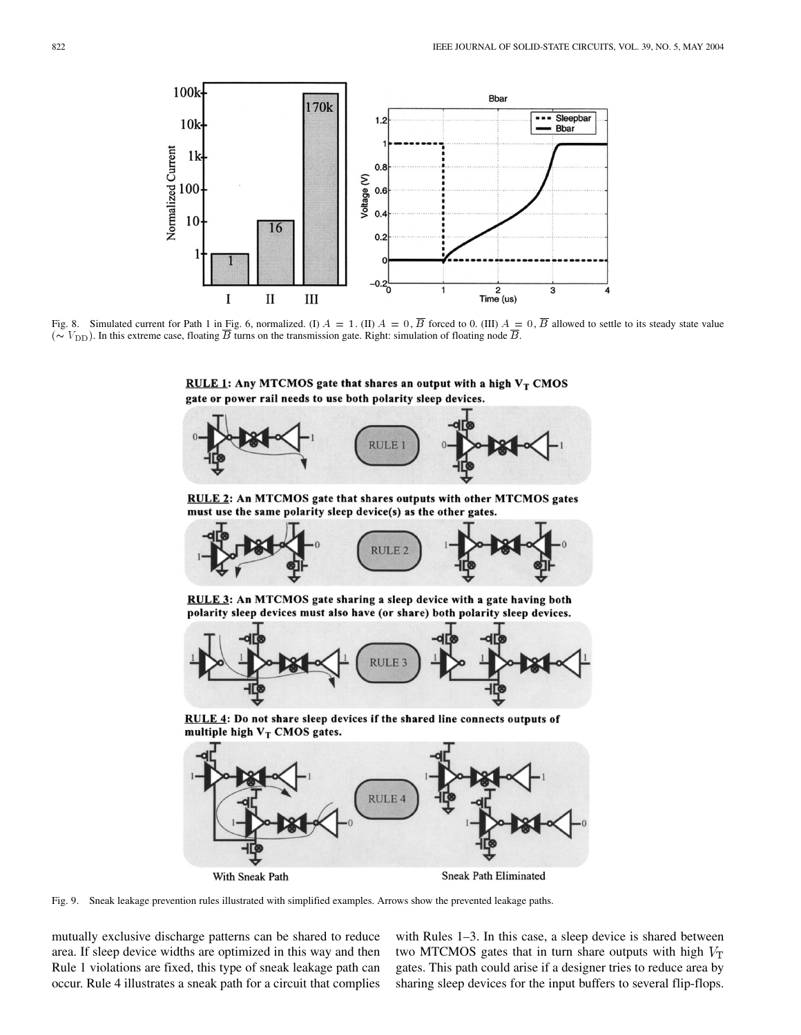

Fig. 8. Simulated current for Path 1 in Fig. 6, normalized. (I)  $A = 1$ . (II)  $A = 0$ ,  $\overline{B}$  forced to 0. (III)  $A = 0$ ,  $\overline{B}$  allowed to settle to its steady state value ( $\sim V_{\rm DD}$ ). In this extreme case, floating  $\overline{B}$  turns on the transmission gate. Right: simulation of floating node  $\overline{B}$ .

RULE 1: Any MTCMOS gate that shares an output with a high  $V_T$  CMOS gate or power rail needs to use both polarity sleep devices.



RULE 2: An MTCMOS gate that shares outputs with other MTCMOS gates must use the same polarity sleep device(s) as the other gates.



RULE 3: An MTCMOS gate sharing a sleep device with a gate having both polarity sleep devices must also have (or share) both polarity sleep devices.



RULE 4: Do not share sleep devices if the shared line connects outputs of multiple high  $V_T$  CMOS gates.



Fig. 9. Sneak leakage prevention rules illustrated with simplified examples. Arrows show the prevented leakage paths.

mutually exclusive discharge patterns can be shared to reduce area. If sleep device widths are optimized in this way and then Rule 1 violations are fixed, this type of sneak leakage path can occur. Rule 4 illustrates a sneak path for a circuit that complies with Rules 1–3. In this case, a sleep device is shared between two MTCMOS gates that in turn share outputs with high  $V_T$ gates. This path could arise if a designer tries to reduce area by sharing sleep devices for the input buffers to several flip-flops.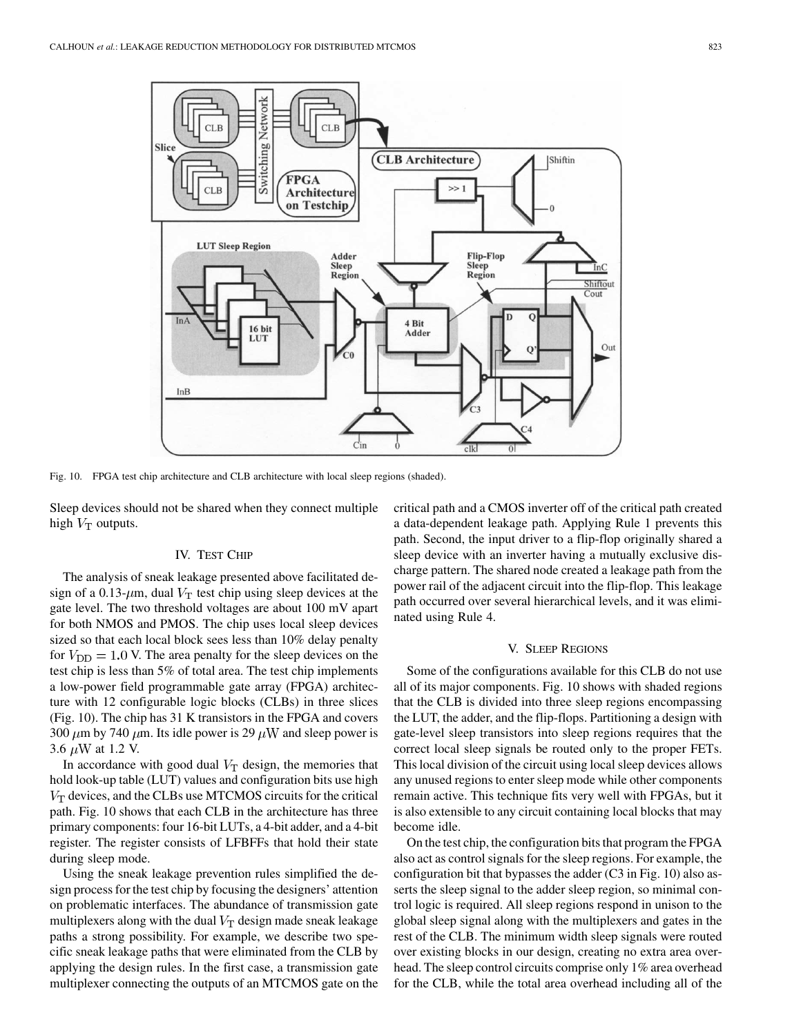

Fig. 10. FPGA test chip architecture and CLB architecture with local sleep regions (shaded).

Sleep devices should not be shared when they connect multiple high  $V_T$  outputs.

## IV. TEST CHIP

The analysis of sneak leakage presented above facilitated design of a 0.13- $\mu$ m, dual  $V_T$  test chip using sleep devices at the gate level. The two threshold voltages are about 100 mV apart for both NMOS and PMOS. The chip uses local sleep devices sized so that each local block sees less than 10% delay penalty for  $V_{\text{DD}} = 1.0$  V. The area penalty for the sleep devices on the test chip is less than 5% of total area. The test chip implements a low-power field programmable gate array (FPGA) architecture with 12 configurable logic blocks (CLBs) in three slices (Fig. 10). The chip has 31 K transistors in the FPGA and covers 300  $\mu$ m by 740  $\mu$ m. Its idle power is 29  $\mu$ W and sleep power is 3.6  $\mu$ W at 1.2 V.

In accordance with good dual  $V_T$  design, the memories that hold look-up table (LUT) values and configuration bits use high  $V_T$  devices, and the CLBs use MTCMOS circuits for the critical path. Fig. 10 shows that each CLB in the architecture has three primary components: four 16-bit LUTs, a 4-bit adder, and a 4-bit register. The register consists of LFBFFs that hold their state during sleep mode.

Using the sneak leakage prevention rules simplified the design process for the test chip by focusing the designers' attention on problematic interfaces. The abundance of transmission gate multiplexers along with the dual  $V_T$  design made sneak leakage paths a strong possibility. For example, we describe two specific sneak leakage paths that were eliminated from the CLB by applying the design rules. In the first case, a transmission gate multiplexer connecting the outputs of an MTCMOS gate on the critical path and a CMOS inverter off of the critical path created a data-dependent leakage path. Applying Rule 1 prevents this path. Second, the input driver to a flip-flop originally shared a sleep device with an inverter having a mutually exclusive discharge pattern. The shared node created a leakage path from the power rail of the adjacent circuit into the flip-flop. This leakage path occurred over several hierarchical levels, and it was eliminated using Rule 4.

# V. SLEEP REGIONS

Some of the configurations available for this CLB do not use all of its major components. Fig. 10 shows with shaded regions that the CLB is divided into three sleep regions encompassing the LUT, the adder, and the flip-flops. Partitioning a design with gate-level sleep transistors into sleep regions requires that the correct local sleep signals be routed only to the proper FETs. This local division of the circuit using local sleep devices allows any unused regions to enter sleep mode while other components remain active. This technique fits very well with FPGAs, but it is also extensible to any circuit containing local blocks that may become idle.

On the test chip, the configuration bits that program the FPGA also act as control signals for the sleep regions. For example, the configuration bit that bypasses the adder (C3 in Fig. 10) also asserts the sleep signal to the adder sleep region, so minimal control logic is required. All sleep regions respond in unison to the global sleep signal along with the multiplexers and gates in the rest of the CLB. The minimum width sleep signals were routed over existing blocks in our design, creating no extra area overhead. The sleep control circuits comprise only 1% area overhead for the CLB, while the total area overhead including all of the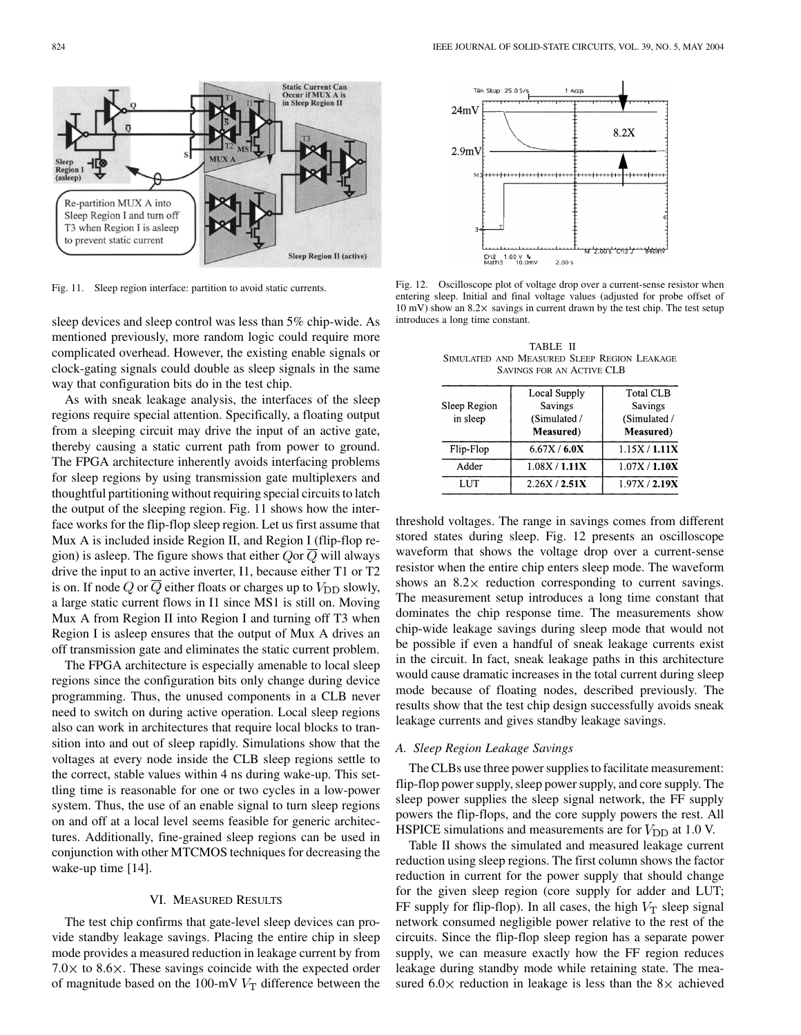**Sleep Region II** Re-partition MUX A into Sleep Region I and turn off T3 when Region I is asleep to prevent static current **Sleep Region II (active)** 

**Static Current Can<br>Occur if MUX A is** 

Fig. 11. Sleep region interface: partition to avoid static currents.

sleep devices and sleep control was less than 5% chip-wide. As mentioned previously, more random logic could require more complicated overhead. However, the existing enable signals or clock-gating signals could double as sleep signals in the same way that configuration bits do in the test chip.

As with sneak leakage analysis, the interfaces of the sleep regions require special attention. Specifically, a floating output from a sleeping circuit may drive the input of an active gate, thereby causing a static current path from power to ground. The FPGA architecture inherently avoids interfacing problems for sleep regions by using transmission gate multiplexers and thoughtful partitioning without requiring special circuits to latch the output of the sleeping region. Fig. 11 shows how the interface works for the flip-flop sleep region. Let us first assume that Mux A is included inside Region II, and Region I (flip-flop region) is asleep. The figure shows that either  $Q$  or  $Q$  will always drive the input to an active inverter, I1, because either T1 or T2 is on. If node Q or Q either floats or charges up to  $V_{\text{DD}}$  slowly, a large static current flows in I1 since MS1 is still on. Moving Mux A from Region II into Region I and turning off T3 when Region I is asleep ensures that the output of Mux A drives an off transmission gate and eliminates the static current problem.

The FPGA architecture is especially amenable to local sleep regions since the configuration bits only change during device programming. Thus, the unused components in a CLB never need to switch on during active operation. Local sleep regions also can work in architectures that require local blocks to transition into and out of sleep rapidly. Simulations show that the voltages at every node inside the CLB sleep regions settle to the correct, stable values within 4 ns during wake-up. This settling time is reasonable for one or two cycles in a low-power system. Thus, the use of an enable signal to turn sleep regions on and off at a local level seems feasible for generic architectures. Additionally, fine-grained sleep regions can be used in conjunction with other MTCMOS techniques for decreasing the wake-up time [[14\]](#page-7-0).

## VI. MEASURED RESULTS

The test chip confirms that gate-level sleep devices can provide standby leakage savings. Placing the entire chip in sleep mode provides a measured reduction in leakage current by from  $7.0\times$  to 8.6 $\times$ . These savings coincide with the expected order of magnitude based on the 100-mV  $V_T$  difference between the



Fig. 12. Oscilloscope plot of voltage drop over a current-sense resistor when entering sleep. Initial and final voltage values (adjusted for probe offset of 10 mV) show an  $8.2 \times$  savings in current drawn by the test chip. The test setup introduces a long time constant.

TABLE II SIMULATED AND MEASURED SLEEP REGION LEAKAGE SAVINGS FOR AN ACTIVE CLB

| Sleep Region<br>in sleep | Local Supply<br><b>Savings</b><br>(Simulated / | <b>Total CLB</b><br><b>Savings</b><br>(Simulated / |
|--------------------------|------------------------------------------------|----------------------------------------------------|
|                          | Measured)                                      | Measured)                                          |
| Flip-Flop                | 6.67X / 6.0X                                   | 1.15X/1.11X                                        |
| Adder                    | 1.08X / 1.11X                                  | 1.07X/1.10X                                        |
| LUT                      | 2.26X/2.51X                                    | 1.97X/2.19X                                        |

threshold voltages. The range in savings comes from different stored states during sleep. Fig. 12 presents an oscilloscope waveform that shows the voltage drop over a current-sense resistor when the entire chip enters sleep mode. The waveform shows an  $8.2 \times$  reduction corresponding to current savings. The measurement setup introduces a long time constant that dominates the chip response time. The measurements show chip-wide leakage savings during sleep mode that would not be possible if even a handful of sneak leakage currents exist in the circuit. In fact, sneak leakage paths in this architecture would cause dramatic increases in the total current during sleep mode because of floating nodes, described previously. The results show that the test chip design successfully avoids sneak leakage currents and gives standby leakage savings.

## *A. Sleep Region Leakage Savings*

The CLBs use three power supplies to facilitate measurement: flip-flop power supply, sleep power supply, and core supply. The sleep power supplies the sleep signal network, the FF supply powers the flip-flops, and the core supply powers the rest. All HSPICE simulations and measurements are for  $V_{\text{DD}}$  at 1.0 V.

Table II shows the simulated and measured leakage current reduction using sleep regions. The first column shows the factor reduction in current for the power supply that should change for the given sleep region (core supply for adder and LUT; FF supply for flip-flop). In all cases, the high  $V_T$  sleep signal network consumed negligible power relative to the rest of the circuits. Since the flip-flop sleep region has a separate power supply, we can measure exactly how the FF region reduces leakage during standby mode while retaining state. The measured 6.0 $\times$  reduction in leakage is less than the 8 $\times$  achieved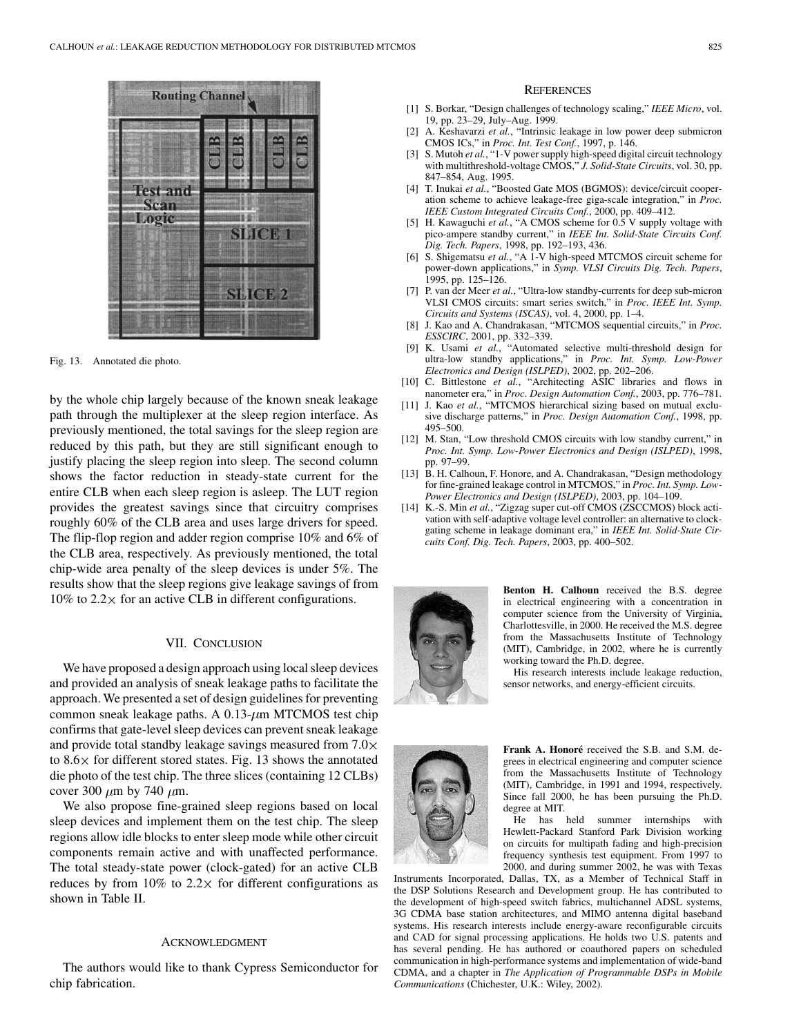<span id="page-7-0"></span>

Fig. 13. Annotated die photo.

by the whole chip largely because of the known sneak leakage path through the multiplexer at the sleep region interface. As previously mentioned, the total savings for the sleep region are reduced by this path, but they are still significant enough to justify placing the sleep region into sleep. The second column shows the factor reduction in steady-state current for the entire CLB when each sleep region is asleep. The LUT region provides the greatest savings since that circuitry comprises roughly 60% of the CLB area and uses large drivers for speed. The flip-flop region and adder region comprise 10% and 6% of the CLB area, respectively. As previously mentioned, the total chip-wide area penalty of the sleep devices is under 5%. The results show that the sleep regions give leakage savings of from  $10\%$  to 2.2 $\times$  for an active CLB in different configurations.

# VII. CONCLUSION

We have proposed a design approach using local sleep devices and provided an analysis of sneak leakage paths to facilitate the approach. We presented a set of design guidelines for preventing common sneak leakage paths. A  $0.13$ - $\mu$ m MTCMOS test chip confirms that gate-level sleep devices can prevent sneak leakage and provide total standby leakage savings measured from  $7.0\times$ to  $8.6 \times$  for different stored states. Fig. 13 shows the annotated die photo of the test chip. The three slices (containing 12 CLBs) cover 300  $\mu$ m by 740  $\mu$ m.

We also propose fine-grained sleep regions based on local sleep devices and implement them on the test chip. The sleep regions allow idle blocks to enter sleep mode while other circuit components remain active and with unaffected performance. The total steady-state power (clock-gated) for an active CLB reduces by from  $10\%$  to  $2.2\times$  for different configurations as shown in Table II.

### ACKNOWLEDGMENT

The authors would like to thank Cypress Semiconductor for chip fabrication.

#### **REFERENCES**

- [1] S. Borkar, "Design challenges of technology scaling," *IEEE Micro*, vol. 19, pp. 23–29, July–Aug. 1999.
- [2] A. Keshavarzi *et al.*, "Intrinsic leakage in low power deep submicron CMOS ICs," in *Proc. Int. Test Conf.*, 1997, p. 146.
- [3] S. Mutoh *et al.*, "1-V power supply high-speed digital circuit technology with multithreshold-voltage CMOS," *J. Solid-State Circuits*, vol. 30, pp. 847–854, Aug. 1995.
- [4] T. Inukai *et al.*, "Boosted Gate MOS (BGMOS): device/circuit cooperation scheme to achieve leakage-free giga-scale integration," in *Proc. IEEE Custom Integrated Circuits Conf.*, 2000, pp. 409–412.
- [5] H. Kawaguchi *et al.*, "A CMOS scheme for 0.5 V supply voltage with pico-ampere standby current," in *IEEE Int. Solid-State Circuits Conf. Dig. Tech. Papers*, 1998, pp. 192–193, 436.
- [6] S. Shigematsu *et al.*, "A 1-V high-speed MTCMOS circuit scheme for power-down applications," in *Symp. VLSI Circuits Dig. Tech. Papers*, 1995, pp. 125–126.
- [7] P. van der Meer *et al.*, "Ultra-low standby-currents for deep sub-micron VLSI CMOS circuits: smart series switch," in *Proc. IEEE Int. Symp. Circuits and Systems (ISCAS)*, vol. 4, 2000, pp. 1–4.
- [8] J. Kao and A. Chandrakasan, "MTCMOS sequential circuits," in *Proc. ESSCIRC*, 2001, pp. 332–339.
- [9] K. Usami *et al.*, "Automated selective multi-threshold design for ultra-low standby applications," in *Proc. Int. Symp. Low-Power Electronics and Design (ISLPED)*, 2002, pp. 202–206.
- [10] C. Bittlestone *et al.*, "Architecting ASIC libraries and flows in nanometer era," in *Proc. Design Automation Conf.*, 2003, pp. 776–781.
- [11] J. Kao et al., "MTCMOS hierarchical sizing based on mutual exclusive discharge patterns," in *Proc. Design Automation Conf.*, 1998, pp. 495–500.
- [12] M. Stan, "Low threshold CMOS circuits with low standby current," in *Proc. Int. Symp. Low-Power Electronics and Design (ISLPED)*, 1998, pp. 97–99.
- [13] B. H. Calhoun, F. Honore, and A. Chandrakasan, "Design methodology for fine-grained leakage control in MTCMOS," in *Proc. Int. Symp. Low-Power Electronics and Design (ISLPED)*, 2003, pp. 104–109.
- [14] K.-S. Min *et al.*, "Zigzag super cut-off CMOS (ZSCCMOS) block activation with self-adaptive voltage level controller: an alternative to clockgating scheme in leakage dominant era," in *IEEE Int. Solid-State Circuits Conf. Dig. Tech. Papers*, 2003, pp. 400–502.



**Benton H. Calhoun** received the B.S. degree in electrical engineering with a concentration in computer science from the University of Virginia, Charlottesville, in 2000. He received the M.S. degree from the Massachusetts Institute of Technology (MIT), Cambridge, in 2002, where he is currently working toward the Ph.D. degree.

His research interests include leakage reduction, sensor networks, and energy-efficient circuits.



**Frank A. Honoré** received the S.B. and S.M. degrees in electrical engineering and computer science from the Massachusetts Institute of Technology (MIT), Cambridge, in 1991 and 1994, respectively. Since fall 2000, he has been pursuing the Ph.D. degree at MIT.

He has held summer internships with Hewlett-Packard Stanford Park Division working on circuits for multipath fading and high-precision frequency synthesis test equipment. From 1997 to 2000, and during summer 2002, he was with Texas

Instruments Incorporated, Dallas, TX, as a Member of Technical Staff in the DSP Solutions Research and Development group. He has contributed to the development of high-speed switch fabrics, multichannel ADSL systems, 3G CDMA base station architectures, and MIMO antenna digital baseband systems. His research interests include energy-aware reconfigurable circuits and CAD for signal processing applications. He holds two U.S. patents and has several pending. He has authored or coauthored papers on scheduled communication in high-performance systems and implementation of wide-band CDMA, and a chapter in *The Application of Programmable DSPs in Mobile Communications* (Chichester, U.K.: Wiley, 2002).